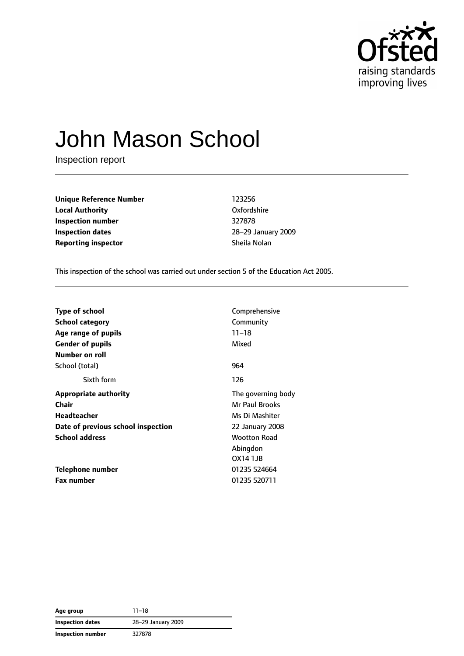

# John Mason School

Inspection report

**Unique Reference Number** 123256 **Local Authority** Oxfordshire **Inspection number** 327878 **Inspection dates** 28–29 January 2009 **Reporting inspector** Sheila Nolan

This inspection of the school was carried out under section 5 of the Education Act 2005.

| <b>Type of school</b>              | Comprehensive      |  |
|------------------------------------|--------------------|--|
| School category                    | Community          |  |
| Age range of pupils                | $11 - 18$          |  |
| <b>Gender of pupils</b>            | Mixed              |  |
| <b>Number on roll</b>              |                    |  |
| School (total)                     | 964                |  |
| Sixth form                         | 126                |  |
| <b>Appropriate authority</b>       | The governing body |  |
| Chair                              | Mr Paul Brooks     |  |
| <b>Headteacher</b>                 | Ms Di Mashiter     |  |
| Date of previous school inspection | 22 January 2008    |  |
| <b>School address</b>              | Wootton Road       |  |
|                                    | Abingdon           |  |
|                                    | OX14 1JB           |  |
| <b>Telephone number</b>            | 01235 524664       |  |
| <b>Fax number</b>                  | 01235 520711       |  |

| Age group                | $11 - 18$          |
|--------------------------|--------------------|
| Inspection dates         | 28-29 January 2009 |
| <b>Inspection number</b> | 327878             |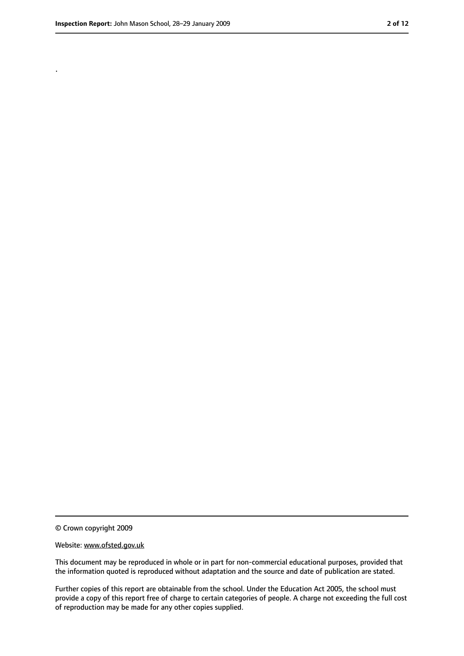.

<sup>©</sup> Crown copyright 2009

Website: www.ofsted.gov.uk

This document may be reproduced in whole or in part for non-commercial educational purposes, provided that the information quoted is reproduced without adaptation and the source and date of publication are stated.

Further copies of this report are obtainable from the school. Under the Education Act 2005, the school must provide a copy of this report free of charge to certain categories of people. A charge not exceeding the full cost of reproduction may be made for any other copies supplied.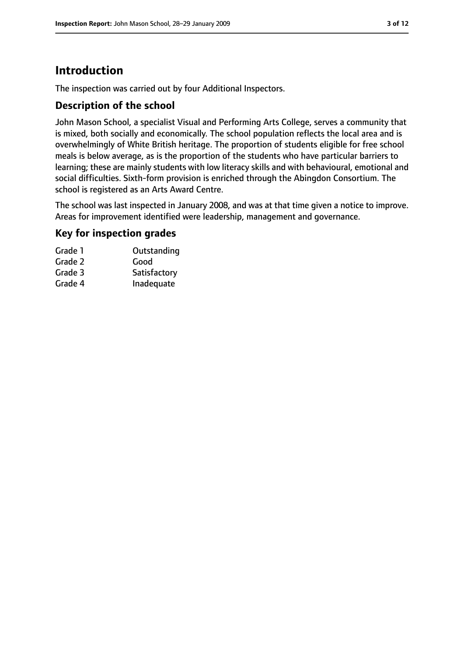### **Introduction**

The inspection was carried out by four Additional Inspectors.

#### **Description of the school**

John Mason School, a specialist Visual and Performing Arts College, serves a community that is mixed, both socially and economically. The school population reflects the local area and is overwhelmingly of White British heritage. The proportion of students eligible for free school meals is below average, as is the proportion of the students who have particular barriers to learning; these are mainly students with low literacy skills and with behavioural, emotional and social difficulties. Sixth-form provision is enriched through the Abingdon Consortium. The school is registered as an Arts Award Centre.

The school was last inspected in January 2008, and was at that time given a notice to improve. Areas for improvement identified were leadership, management and governance.

#### **Key for inspection grades**

| Outstanding  |
|--------------|
| Good         |
| Satisfactory |
| Inadequate   |
|              |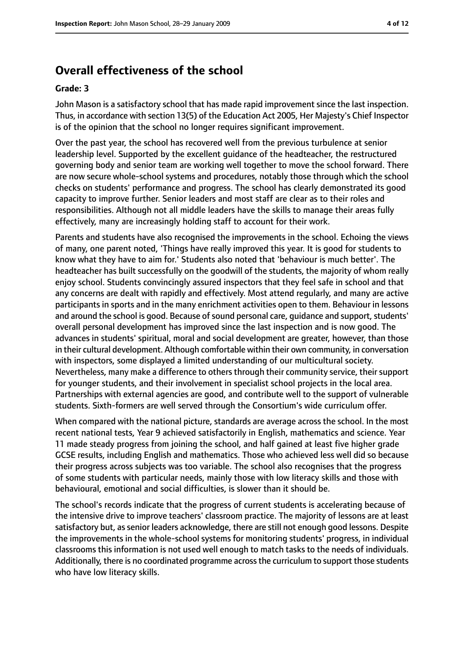### **Overall effectiveness of the school**

#### **Grade: 3**

John Mason is a satisfactory school that has made rapid improvement since the last inspection. Thus, in accordance with section 13(5) of the Education Act 2005, Her Majesty's Chief Inspector is of the opinion that the school no longer requires significant improvement.

Over the past year, the school has recovered well from the previous turbulence at senior leadership level. Supported by the excellent guidance of the headteacher, the restructured governing body and senior team are working well together to move the school forward. There are now secure whole-school systems and procedures, notably those through which the school checks on students' performance and progress. The school has clearly demonstrated its good capacity to improve further. Senior leaders and most staff are clear as to their roles and responsibilities. Although not all middle leaders have the skills to manage their areas fully effectively, many are increasingly holding staff to account for their work.

Parents and students have also recognised the improvements in the school. Echoing the views of many, one parent noted, 'Things have really improved this year. It is good for students to know what they have to aim for.' Students also noted that 'behaviour is much better'. The headteacher has built successfully on the goodwill of the students, the majority of whom really enjoy school. Students convincingly assured inspectors that they feel safe in school and that any concerns are dealt with rapidly and effectively. Most attend regularly, and many are active participants in sports and in the many enrichment activities open to them. Behaviour in lessons and around the school is good. Because of sound personal care, guidance and support, students' overall personal development has improved since the last inspection and is now good. The advances in students' spiritual, moral and social development are greater, however, than those in their cultural development. Although comfortable within their own community, in conversation with inspectors, some displayed a limited understanding of our multicultural society. Nevertheless, many make a difference to others through their community service, their support for younger students, and their involvement in specialist school projects in the local area. Partnerships with external agencies are good, and contribute well to the support of vulnerable students. Sixth-formers are well served through the Consortium's wide curriculum offer.

When compared with the national picture, standards are average across the school. In the most recent national tests, Year 9 achieved satisfactorily in English, mathematics and science. Year 11 made steady progress from joining the school, and half gained at least five higher grade GCSE results, including English and mathematics. Those who achieved less well did so because their progress across subjects was too variable. The school also recognises that the progress of some students with particular needs, mainly those with low literacy skills and those with behavioural, emotional and social difficulties, is slower than it should be.

The school's records indicate that the progress of current students is accelerating because of the intensive drive to improve teachers' classroom practice. The majority of lessons are at least satisfactory but, as senior leaders acknowledge, there are still not enough good lessons. Despite the improvements in the whole-school systems for monitoring students' progress, in individual classrooms this information is not used well enough to match tasks to the needs of individuals. Additionally, there is no coordinated programme across the curriculum to support those students who have low literacy skills.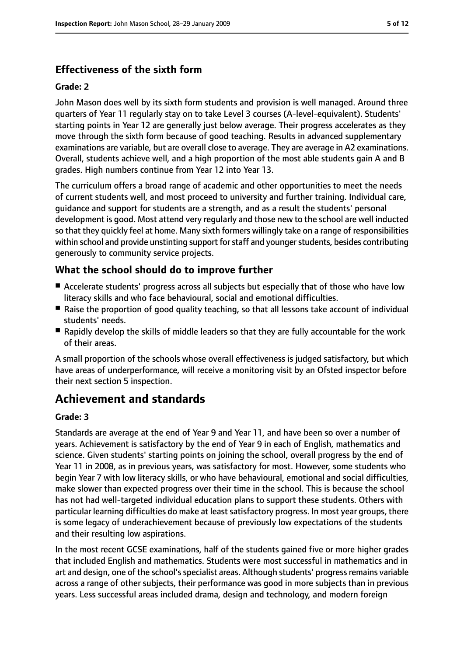### **Effectiveness of the sixth form**

#### **Grade: 2**

John Mason does well by its sixth form students and provision is well managed. Around three quarters of Year 11 regularly stay on to take Level 3 courses (A-level-equivalent). Students' starting points in Year 12 are generally just below average. Their progress accelerates as they move through the sixth form because of good teaching. Results in advanced supplementary examinations are variable, but are overall close to average. They are average in A2 examinations. Overall, students achieve well, and a high proportion of the most able students gain A and B grades. High numbers continue from Year 12 into Year 13.

The curriculum offers a broad range of academic and other opportunities to meet the needs of current students well, and most proceed to university and further training. Individual care, guidance and support for students are a strength, and as a result the students' personal development is good. Most attend very regularly and those new to the school are well inducted so that they quickly feel at home. Many sixth formers willingly take on a range of responsibilities within school and provide unstinting support for staff and younger students, besides contributing generously to community service projects.

#### **What the school should do to improve further**

- Accelerate students' progress across all subjects but especially that of those who have low literacy skills and who face behavioural, social and emotional difficulties.
- Raise the proportion of good quality teaching, so that all lessons take account of individual students' needs.
- Rapidly develop the skills of middle leaders so that they are fully accountable for the work of their areas.

A small proportion of the schools whose overall effectiveness is judged satisfactory, but which have areas of underperformance, will receive a monitoring visit by an Ofsted inspector before their next section 5 inspection.

### **Achievement and standards**

#### **Grade: 3**

Standards are average at the end of Year 9 and Year 11, and have been so over a number of years. Achievement is satisfactory by the end of Year 9 in each of English, mathematics and science. Given students' starting points on joining the school, overall progress by the end of Year 11 in 2008, as in previous years, was satisfactory for most. However, some students who begin Year 7 with low literacy skills, or who have behavioural, emotional and social difficulties, make slower than expected progress over their time in the school. This is because the school has not had well-targeted individual education plans to support these students. Others with particular learning difficulties do make at leastsatisfactory progress. In most year groups, there is some legacy of underachievement because of previously low expectations of the students and their resulting low aspirations.

In the most recent GCSE examinations, half of the students gained five or more higher grades that included English and mathematics. Students were most successful in mathematics and in art and design, one of the school's specialist areas. Although students' progress remains variable across a range of other subjects, their performance was good in more subjects than in previous years. Less successful areas included drama, design and technology, and modern foreign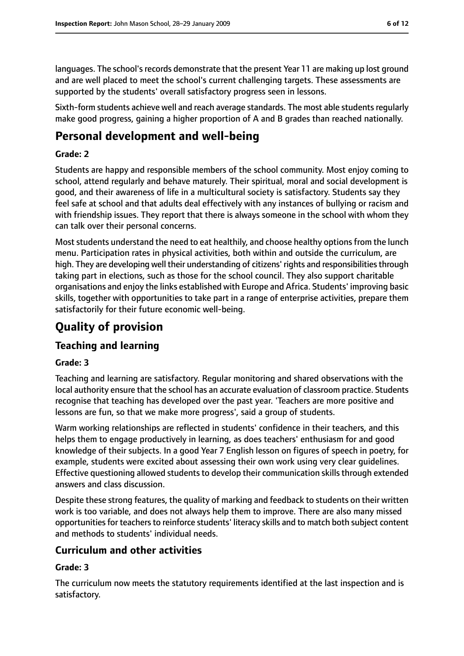languages. The school's records demonstrate that the present Year 11 are making up lost ground and are well placed to meet the school's current challenging targets. These assessments are supported by the students' overall satisfactory progress seen in lessons.

Sixth-form students achieve well and reach average standards. The most able studentsregularly make good progress, gaining a higher proportion of A and B grades than reached nationally.

### **Personal development and well-being**

#### **Grade: 2**

Students are happy and responsible members of the school community. Most enjoy coming to school, attend regularly and behave maturely. Their spiritual, moral and social development is good, and their awareness of life in a multicultural society is satisfactory. Students say they feel safe at school and that adults deal effectively with any instances of bullying or racism and with friendship issues. They report that there is always someone in the school with whom they can talk over their personal concerns.

Most students understand the need to eat healthily, and choose healthy options from the lunch menu. Participation rates in physical activities, both within and outside the curriculum, are high. They are developing well their understanding of citizens' rights and responsibilities through taking part in elections, such as those for the school council. They also support charitable organisations and enjoy the links established with Europe and Africa. Students' improving basic skills, together with opportunities to take part in a range of enterprise activities, prepare them satisfactorily for their future economic well-being.

### **Quality of provision**

#### **Teaching and learning**

#### **Grade: 3**

Teaching and learning are satisfactory. Regular monitoring and shared observations with the local authority ensure that the school has an accurate evaluation of classroom practice. Students recognise that teaching has developed over the past year. 'Teachers are more positive and lessons are fun, so that we make more progress', said a group of students.

Warm working relationships are reflected in students' confidence in their teachers, and this helps them to engage productively in learning, as does teachers' enthusiasm for and good knowledge of their subjects. In a good Year 7 English lesson on figures of speech in poetry, for example, students were excited about assessing their own work using very clear guidelines. Effective questioning allowed students to develop their communication skills through extended answers and class discussion.

Despite these strong features, the quality of marking and feedback to students on their written work is too variable, and does not always help them to improve. There are also many missed opportunities for teachers to reinforce students' literacy skills and to match both subject content and methods to students' individual needs.

#### **Curriculum and other activities**

#### **Grade: 3**

The curriculum now meets the statutory requirements identified at the last inspection and is satisfactory.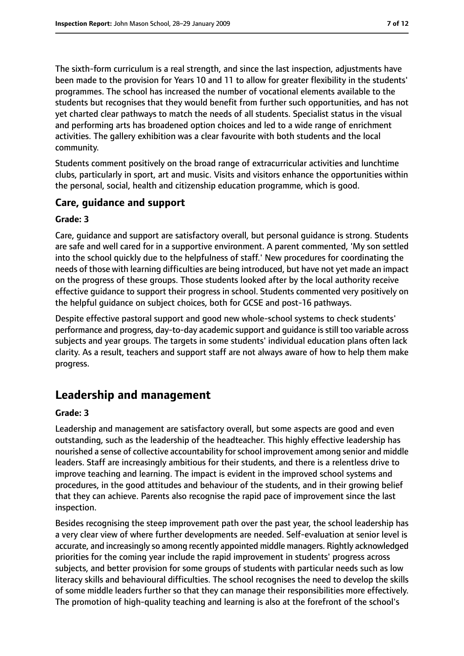The sixth-form curriculum is a real strength, and since the last inspection, adjustments have been made to the provision for Years 10 and 11 to allow for greater flexibility in the students' programmes. The school has increased the number of vocational elements available to the students but recognises that they would benefit from further such opportunities, and has not yet charted clear pathways to match the needs of all students. Specialist status in the visual and performing arts has broadened option choices and led to a wide range of enrichment activities. The gallery exhibition was a clear favourite with both students and the local community.

Students comment positively on the broad range of extracurricular activities and lunchtime clubs, particularly in sport, art and music. Visits and visitors enhance the opportunities within the personal, social, health and citizenship education programme, which is good.

#### **Care, guidance and support**

#### **Grade: 3**

Care, guidance and support are satisfactory overall, but personal guidance is strong. Students are safe and well cared for in a supportive environment. A parent commented, 'My son settled into the school quickly due to the helpfulness of staff.' New procedures for coordinating the needs of those with learning difficulties are being introduced, but have not yet made an impact on the progress of these groups. Those students looked after by the local authority receive effective guidance to support their progress in school. Students commented very positively on the helpful guidance on subject choices, both for GCSE and post-16 pathways.

Despite effective pastoral support and good new whole-school systems to check students' performance and progress, day-to-day academic support and guidance isstill too variable across subjects and year groups. The targets in some students' individual education plans often lack clarity. As a result, teachers and support staff are not always aware of how to help them make progress.

### **Leadership and management**

#### **Grade: 3**

Leadership and management are satisfactory overall, but some aspects are good and even outstanding, such as the leadership of the headteacher. This highly effective leadership has nourished a sense of collective accountability for school improvement among senior and middle leaders. Staff are increasingly ambitious for their students, and there is a relentless drive to improve teaching and learning. The impact is evident in the improved school systems and procedures, in the good attitudes and behaviour of the students, and in their growing belief that they can achieve. Parents also recognise the rapid pace of improvement since the last inspection.

Besides recognising the steep improvement path over the past year, the school leadership has a very clear view of where further developments are needed. Self-evaluation at senior level is accurate, and increasingly so among recently appointed middle managers. Rightly acknowledged priorities for the coming year include the rapid improvement in students' progress across subjects, and better provision for some groups of students with particular needs such as low literacy skills and behavioural difficulties. The school recognises the need to develop the skills of some middle leaders further so that they can manage their responsibilities more effectively. The promotion of high-quality teaching and learning is also at the forefront of the school's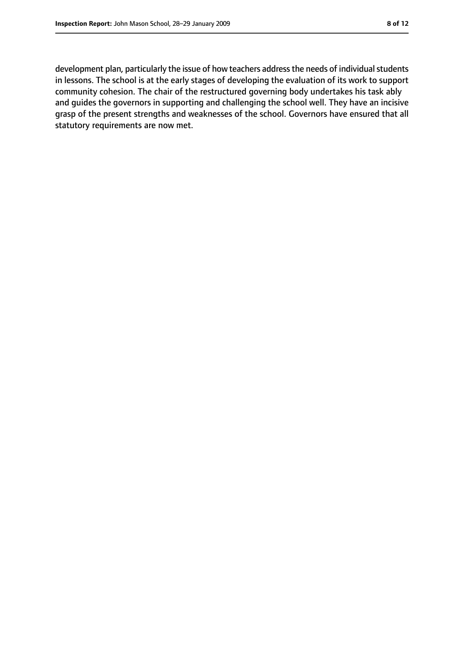development plan, particularly the issue of how teachers address the needs of individual students in lessons. The school is at the early stages of developing the evaluation of its work to support community cohesion. The chair of the restructured governing body undertakes his task ably and guides the governors in supporting and challenging the school well. They have an incisive grasp of the present strengths and weaknesses of the school. Governors have ensured that all statutory requirements are now met.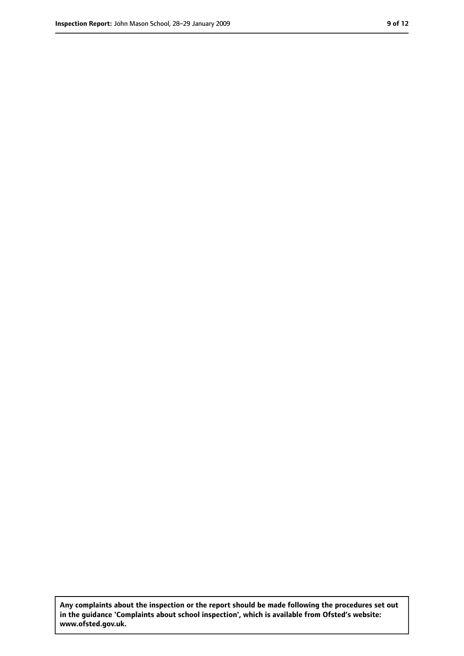**Any complaints about the inspection or the report should be made following the procedures set out in the guidance 'Complaints about school inspection', which is available from Ofsted's website: www.ofsted.gov.uk.**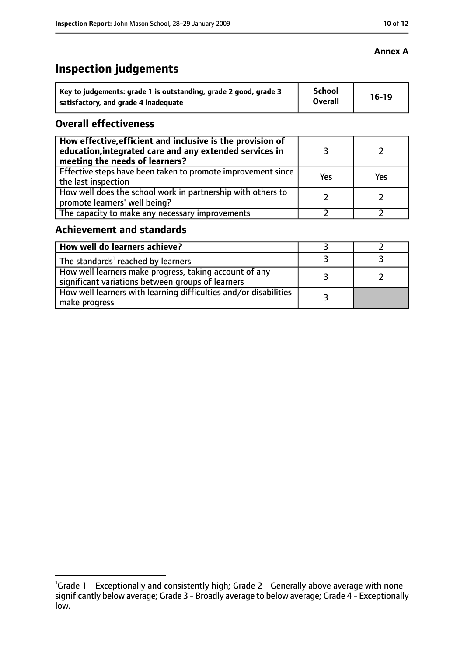### **Inspection judgements**

| Key to judgements: grade 1 is outstanding, grade 2 good, grade 3 | <b>School</b>  | $16-19$ |
|------------------------------------------------------------------|----------------|---------|
| satisfactory, and grade 4 inadequate                             | <b>Overall</b> |         |

#### **Overall effectiveness**

| How effective, efficient and inclusive is the provision of<br>education, integrated care and any extended services in<br>meeting the needs of learners? |     |     |
|---------------------------------------------------------------------------------------------------------------------------------------------------------|-----|-----|
| Effective steps have been taken to promote improvement since<br>the last inspection                                                                     | Yes | Yes |
| How well does the school work in partnership with others to<br>promote learners' well being?                                                            |     |     |
| The capacity to make any necessary improvements                                                                                                         |     |     |

#### **Achievement and standards**

| How well do learners achieve?                                                                               |  |
|-------------------------------------------------------------------------------------------------------------|--|
| The standards <sup>1</sup> reached by learners                                                              |  |
| How well learners make progress, taking account of any<br>significant variations between groups of learners |  |
| How well learners with learning difficulties and/or disabilities<br>make progress                           |  |

#### **Annex A**

<sup>&</sup>lt;sup>1</sup>Grade 1 - Exceptionally and consistently high; Grade 2 - Generally above average with none significantly below average; Grade 3 - Broadly average to below average; Grade 4 - Exceptionally low.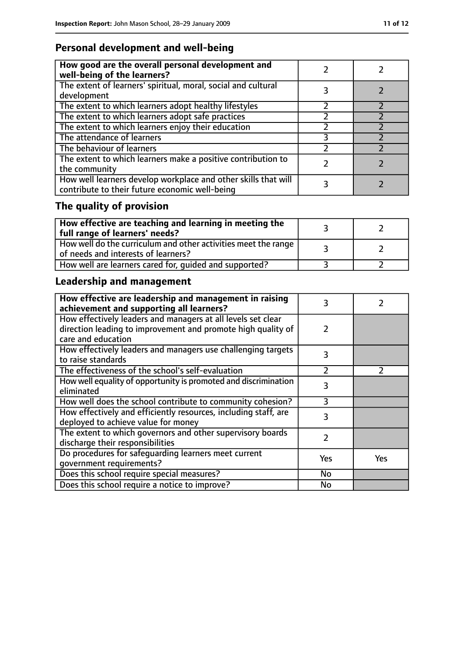### **Personal development and well-being**

| How good are the overall personal development and<br>well-being of the learners?                                 |  |
|------------------------------------------------------------------------------------------------------------------|--|
| The extent of learners' spiritual, moral, social and cultural<br>development                                     |  |
| The extent to which learners adopt healthy lifestyles                                                            |  |
| The extent to which learners adopt safe practices                                                                |  |
| The extent to which learners enjoy their education                                                               |  |
| The attendance of learners                                                                                       |  |
| The behaviour of learners                                                                                        |  |
| The extent to which learners make a positive contribution to<br>the community                                    |  |
| How well learners develop workplace and other skills that will<br>contribute to their future economic well-being |  |

## **The quality of provision**

| $\mid$ How effective are teaching and learning in meeting the<br>full range of learners' needs?       |  |
|-------------------------------------------------------------------------------------------------------|--|
| How well do the curriculum and other activities meet the range<br>of needs and interests of learners? |  |
| How well are learners cared for, quided and supported?                                                |  |

### **Leadership and management**

| How effective are leadership and management in raising<br>achievement and supporting all learners? | 3   |               |
|----------------------------------------------------------------------------------------------------|-----|---------------|
| How effectively leaders and managers at all levels set clear                                       |     |               |
| direction leading to improvement and promote high quality of                                       | 2   |               |
| care and education                                                                                 |     |               |
| How effectively leaders and managers use challenging targets                                       | 3   |               |
| to raise standards                                                                                 |     |               |
| The effectiveness of the school's self-evaluation                                                  | フ   | $\mathcal{L}$ |
| How well equality of opportunity is promoted and discrimination                                    | 3   |               |
| eliminated                                                                                         |     |               |
| How well does the school contribute to community cohesion?                                         | ξ   |               |
| How effectively and efficiently resources, including staff, are                                    | 3   |               |
| deployed to achieve value for money                                                                |     |               |
| The extent to which governors and other supervisory boards                                         | 2   |               |
| discharge their responsibilities                                                                   |     |               |
| Do procedures for safeguarding learners meet current                                               | Yes | Yes           |
| qovernment requirements?                                                                           |     |               |
| Does this school require special measures?                                                         | No  |               |
| Does this school require a notice to improve?                                                      | No  |               |